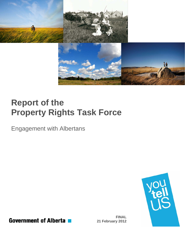

# **Report of the Property Rights Task Force**

Engagement with Albertans



**Government of Alberta** 

**FINAL 21 February 2012**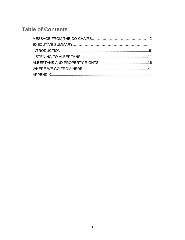## **Table of Contents**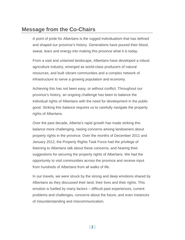## **Message from the Co-Chairs**

A point of pride for Albertans is the rugged individualism that has defined and shaped our province's history. Generations have poured their blood, sweat, tears and energy into making this province what it is today.

From a vast and untamed landscape, Albertans have developed a robust agriculture industry, emerged as world-class producers of natural resources, and built vibrant communities and a complex network of infrastructure to serve a growing population and economy.

Achieving this has not been easy, or without conflict. Throughout our province's history, an ongoing challenge has been to balance the individual rights of Albertans with the need for development in the public good. Striking this balance requires us to carefully navigate the property rights of Albertans.

Over the past decade, Alberta's rapid growth has made striking this balance more challenging, raising concerns among landowners about property rights in the province. Over the months of December 2011 and January 2012, the Property Rights Task Force had the privilege of listening to Albertans talk about these concerns, and hearing their suggestions for securing the property rights of Albertans. We had the opportunity to visit communities across the province and receive input from hundreds of Albertans from all walks of life.

In our travels, we were struck by the strong and deep emotions shared by Albertans as they discussed their land, their lives and their rights. This emotion is fuelled by many factors – difficult past experiences, current problems and challenges, concerns about the future, and even instances of misunderstanding and miscommunication.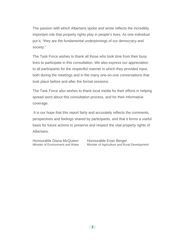The passion with which Albertans spoke and wrote reflects the incredibly important role that property rights play in people's lives. As one individual put it, "they are the fundamental underpinnings of our democracy and society."

The Task Force wishes to thank all those who took time from their busy lives to participate in this consultation. We also express our appreciation to all participants for the respectful manner in which they provided input, both during the meetings and in the many one-on-one conversations that took place before and after the formal sessions.

The Task Force also wishes to thank local media for their efforts in helping spread word about this consultation process, and for their informative coverage.

 It is our hope that this report fairly and accurately reflects the comments, perspectives and feelings shared by participants, and that it forms a useful basis for future actions to preserve and respect the vital property rights of Albertans.

Honourable Diana McQueen Honourable Evan Berger

Minister of Environment and Water Minister of Agriculture and Rural Development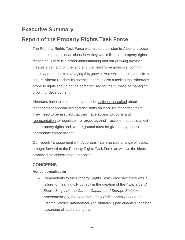## **Executive Summary**

## **Report of the Property Rights Task Force**

The Property Rights Task Force was created to listen to Albertans voice their concerns and ideas about how they would like their property rights respected. There is a broad understanding that our growing province creates a demand on the land and the need for responsible, common sense approaches to managing this growth. And while there is a desire to ensure Alberta reaches its potential, there is also a feeling that Albertans' property rights should not be compromised for the purpose of managing growth or development.

Albertans have told us that they must be actively consulted about management approaches and decisions on land use that affect them. They need to be assured that they have access to courts and representation to negotiate – or argue against – actions that could affect their property rights and, where ground must be given, they expect appropriate compensation.

Our report, "Engagement with Albertans," summarizes a range of issues brought forward to the Property Rights Task Force as well as the ideas proposed to address those concerns.

### **CONCERNS**

#### **Active consultation**

 Respondents to the Property Rights Task Force said there was a failure to meaningfully consult in the creation of the *Alberta Land Stewardship Act*, the *Carbon Capture and Storage Statutes Amendment Act,* the *Land Assembly Project Area Act* and the *Electric Statues Amendment Act*. Numerous participants suggested discarding all and starting over.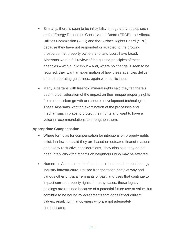- Similarly, there is seen to be inflexibility in regulatory bodies such as the Energy Resources Conservation Board (ERCB), the Alberta Utilities Commission (AUC) and the Surface Rights Board (SRB) because they have not responded or adapted to the growing pressures that property owners and land users have faced. Albertans want a full review of the guiding principles of these agencies – with public input – and, where no change is seen to be required, they want an examination of how these agencies deliver on their operating guidelines, again with public input.
- Many Albertans with freehold mineral rights said they felt there's been no consideration of the impact on their unique property rights from either urban growth or resource development technologies. These Albertans want an examination of the processes and mechanisms in place to protect their rights and want to have a voice in recommendations to strengthen them.

#### **Appropriate Compensation**

- Where formulas for compensation for intrusions on property rights exist, landowners said they are based on outdated financial values and overly restrictive considerations. They also said they do not adequately allow for impacts on neighbours who may be affected.
- Numerous Albertans pointed to the proliferation of unused energy industry infrastructure, unused transportation rights of way and various other physical remnants of past land uses that continue to impact current property rights. In many cases, these legacy holdings are retained because of a potential future use or value, but continue to be bound by agreements that don't reflect current values, resulting in landowners who are not adequately compensated.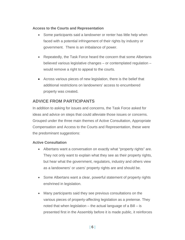#### **Access to the Courts and Representation**

- Some participants said a landowner or renter has little help when faced with a potential infringement of their rights by industry or government. There is an imbalance of power.
- Repeatedly, the Task Force heard the concern that some Albertans believed various legislative changes – or contemplated regulation – would remove a right to appeal to the courts.
- Across various pieces of new legislation, there is the belief that additional restrictions on landowners' access to encumbered property was created.

### **ADVICE FROM PARTICIPANTS**

In addition to asking for issues and concerns, the Task Force asked for ideas and advice on steps that could alleviate those issues or concerns. Grouped under the three main themes of Active Consultation, Appropriate Compensation and Access to the Courts and Representation, these were the predominant suggestions:

#### **Active Consultation**

- Albertans want a conversation on exactly what "property rights" are. They not only want to explain what they see as their property rights, but hear what the government, regulators, industry and others view as a landowners' or users' property rights are and should be.
- Some Albertans want a clear, powerful statement of property rights enshrined in legislation.
- Many participants said they see previous consultations on the various pieces of property-affecting legislation as a pretense. They noted that when legislation – the actual language of a Bill – is presented first in the Assembly before it is made public, it reinforces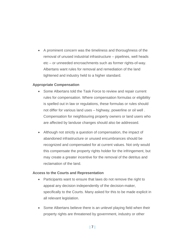A prominent concern was the timeliness and thoroughness of the removal of unused industrial infrastructure – pipelines, well heads etc – or unneeded encroachments such as former rights-of-way. Albertans want rules for removal and remediation of the land tightened and industry held to a higher standard.

#### **Appropriate Compensation**

- Some Albertans told the Task Force to review and repair current rules for compensation. Where compensation formulas or eligibility is spelled out in law or regulations, these formulas or rules should not differ for various land uses – highway, powerline or oil well . Compensation for neighbouring property owners or land users who are affected by landuse changes should also be addressed.
- Although not strictly a question of compensation, the impact of abandoned infrastructure or unused encumbrances should be recognized and compensated for at current values. Not only would this compensate the property rights holder for the infringement, but may create a greater incentive for the removal of the detritus and reclamation of the land.

#### **Access to the Courts and Representation**

- Participants want to ensure that laws do not remove the right to appeal any decision independently of the decision-maker, specifically to the Courts. Many asked for this to be made explicit in all relevant legislation.
- Some Albertans believe there is an unlevel playing field when their property rights are threatened by government, industry or other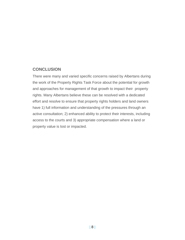### **CONCLUSION**

There were many and varied specific concerns raised by Albertans during the work of the Property Rights Task Force about the potential for growth and approaches for management of that growth to impact their property rights. Many Albertans believe these can be resolved with a dedicated effort and resolve to ensure that property rights holders and land owners have 1) full information and understanding of the pressures through an active consultation; 2) enhanced ability to protect their interests, including access to the courts and 3) appropriate compensation where a land or property value is lost or impacted.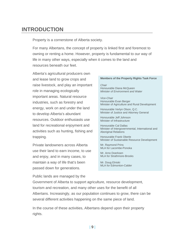## **INTRODUCTION**

Property is a cornerstone of Alberta society.

For many Albertans, the concept of property is linked first and foremost to owning or renting a home. However, property is fundamental to our way of life in many other ways, especially when it comes to the land and resources beneath our feet.

Alberta's agricultural producers own and lease land to grow crops and raise livestock, and play an important role in managing ecologically important areas. Natural resource industries, such as forestry and energy, work on and under the land to develop Alberta's abundant resources. Outdoor enthusiasts use land for recreational enjoyment and activities such as hunting, fishing and trapping.

Private landowners across Alberta use their land to earn income, to use and enjoy, and in many cases, to maintain a way of life that's been passed down for generations.

#### **Members of the Property Rights Task Force**

*Chair* Honourable Diana McQueen *Minister of Environment and Water* 

*Vice-Chair*  Honourable Evan Berger Minister of Agriculture and Rural Development

Honourable Verlyn Olson, Q.C. Minister of Justice and Attorney General

Honourable Jeff Johnson Minister of Infrastructure

Honourable Cal Dallas Minister of Intergovernmental, International and Aboriginal Relations

Honourable Frank Oberle Minister of Sustainable Resource Development

Mr. Raymond Prins MLA for Lacombe-Ponoka

Mr. Arno Doerksen MLA for Strathmore-Brooks

Mr. Doug Elniski MLA for Edmonton-Calder

Public lands are managed by the

Government of Alberta to support agriculture, resource development, tourism and recreation, and many other uses for the benefit of all Albertans. Increasingly, as our population continues to grow, there can be several different activities happening on the same piece of land.

In the course of these activities, Albertans depend upon their property rights.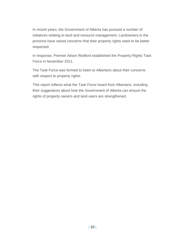In recent years, the Government of Alberta has pursued a number of initiatives relating to land and resource management. Landowners in the province have raised concerns that their property rights need to be better respected.

In response, Premier Alison Redford established the Property Rights Task Force in November 2011.

The Task Force was formed to listen to Albertans about their concerns with respect to property rights.

This report reflects what the Task Force heard from Albertans, including their suggestions about how the Government of Alberta can ensure the rights of property owners and land users are strengthened.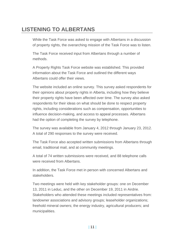## **LISTENING TO ALBERTANS**

While the Task Force was asked to engage with Albertans in a discussion of property rights, the overarching mission of the Task Force was to listen.

The Task Force received input from Albertans through a number of methods.

A Property Rights Task Force website was established. This provided information about the Task Force and outlined the different ways Albertans could offer their views.

The website included an online survey. This survey asked respondents for their opinions about property rights in Alberta, including how they believe their property rights have been affected over time. The survey also asked respondents for their ideas on what should be done to respect property rights, including considerations such as compensation, opportunities to influence decision-making, and access to appeal processes. Albertans had the option of completing the survey by telephone.

The survey was available from January 4, 2012 through January 23, 2012. A total of 290 responses to the survey were received.

The Task Force also accepted written submissions from Albertans through email, traditional mail, and at community meetings.

A total of 74 written submissions were received, and 88 telephone calls were received from Albertans.

In addition, the Task Force met in person with concerned Albertans and stakeholders.

Two meetings were held with key stakeholder groups: one on December 13, 2011 in Leduc, and the other on December 19, 2011 in Airdrie. Stakeholders who attended these meetings included representatives from: landowner associations and advisory groups; leaseholder organizations; freehold mineral owners; the energy industry, agricultural producers; and municipalities.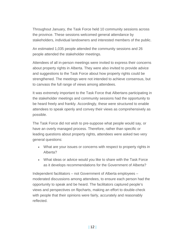Throughout January, the Task Force held 10 community sessions across the province. These sessions welcomed general attendance by stakeholders, individual landowners and interested members of the public.

An estimated 1,035 people attended the community sessions and 26 people attended the stakeholder meetings.

Attendees of all in-person meetings were invited to express their concerns about property rights in Alberta. They were also invited to provide advice and suggestions to the Task Force about how property rights could be strengthened. The meetings were not intended to achieve consensus, but to canvass the full range of views among attendees.

It was extremely important to the Task Force that Albertans participating in the stakeholder meetings and community sessions had the opportunity to be heard freely and frankly. Accordingly, these were structured to enable attendees to speak openly and convey their views as comprehensively as possible.

The Task Force did not wish to pre-suppose what people would say, or have an overly managed process. Therefore, rather than specific or leading questions about property rights, attendees were asked two very general questions:

- What are your issues or concerns with respect to property rights in Alberta?
- What ideas or advice would you like to share with the Task Force as it develops recommendations for the Government of Alberta?

Independent facilitators – not Government of Alberta employees – moderated discussions among attendees, to ensure each person had the opportunity to speak and be heard. The facilitators captured people's views and perspectives on flipcharts, making an effort to double-check with people that their opinions were fairly, accurately and reasonably reflected.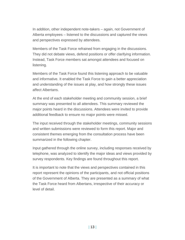In addition, other independent note-takers – again, not Government of Alberta employees – listened to the discussions and captured the views and perspectives expressed by attendees.

Members of the Task Force refrained from engaging in the discussions. They did not debate views, defend positions or offer clarifying information. Instead, Task Force members sat amongst attendees and focused on listening.

Members of the Task Force found this listening approach to be valuable and informative. It enabled the Task Force to gain a better appreciation and understanding of the issues at play, and how strongly these issues affect Albertans.

At the end of each stakeholder meeting and community session, a brief summary was presented to all attendees. This summary reviewed the major points heard in the discussions. Attendees were invited to provide additional feedback to ensure no major points were missed.

The input received through the stakeholder meetings, community sessions and written submissions were reviewed to form this report. Major and consistent themes emerging from the consultation process have been summarized in the following chapter.

Input gathered through the online survey, including responses received by telephone, was analyzed to identify the major ideas and views provided by survey respondents. Key findings are found throughout this report.

It is important to note that the views and perspectives contained in this report represent the opinions of the participants, and not official positions of the Government of Alberta. They are presented as a summary of what the Task Force heard from Albertans, irrespective of their accuracy or level of detail.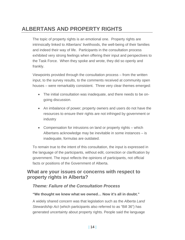## **ALBERTANS AND PROPERTY RIGHTS**

The topic of property rights is an emotional one. Property rights are intrinsically linked to Albertans' livelihoods, the well-being of their families and indeed their way of life. Participants in the consultation process exhibited very strong feelings when offering their input and perspectives to the Task Force. When they spoke and wrote, they did so openly and frankly.

Viewpoints provided through the consultation process – from the written input, to the survey results, to the comments received at community open houses – were remarkably consistent. Three very clear themes emerged:

- The initial consultation was inadequate, and there needs to be ongoing discussion.
- An imbalance of power; property owners and users do not have the resources to ensure their rights are not infringed by government or industry
- Compensation for intrusions on land or property rights which Albertans acknowledge may be inevitable in some instances – is inadequate, formulas are outdated.

To remain true to the intent of this consultation, the input is expressed in the language of the participants, without edit, correction or clarification by government. The input reflects the opinions of participants, not official facts or positions of the Government of Alberta.

### **What are your issues or concerns with respect to property rights in Alberta?**

#### *Theme: Failure of the Consultation Process*

#### **"We thought we knew what we owned… Now it's all in doubt."**

A widely shared concern was that legislation such as the *Alberta Land Stewardship Act* (which participants also referred to as "Bill 36") has generated uncertainty about property rights. People said the language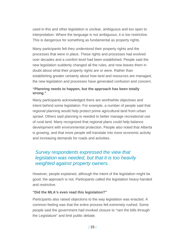used in this and other legislation is unclear, ambiguous and too open to interpretation. Where the language is not ambiguous, it is too restrictive. This is dangerous for something as fundamental as property rights.

Many participants felt they understood their property rights and the processes that were in place. These rights and processes had evolved over decades and a comfort level had been established. People said the new legislation suddenly changed all the rules, and now leaves them in doubt about what their property rights are or were. Rather than establishing greater certainty about how land and resources are managed, the new legislation and processes have generated confusion and concern.

#### **"Planning needs to happen, but the approach has been totally wrong."**

Many participants acknowledged there are worthwhile objectives and intent behind some legislation. For example, a number of people said that regional planning would help protect prime agricultural land from urban sprawl. Others said planning is needed to better manage recreational use of rural land. Many recognized that regional plans could help balance development with environmental protection. People also noted that Alberta is growing, and that more people will translate into more economic activity and increasing demands for roads and activities.

## *Survey respondents expressed the view that legislation was needed, but that it is too heavily weighted against property owners.*

However, people explained, although the intent of the legislation might be good, the approach is not. Participants called the legislation heavy-handed and restrictive.

#### **"Did the MLA's even read this legislation?"**

Participants also raised objections to the way legislation was enacted. A common feeling was that the entire process felt extremely rushed. Some people said the government had invoked closure to "ram the bills through the Legislature" and limit public debate.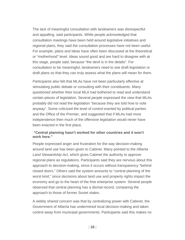The lack of meaningful consultation with landowners was disrespectful and appalling, said participants. While people acknowledged that consultation meetings have been held around legislative initiatives and regional plans, they said the consultation processes have not been useful. For example, plans and ideas have often been discussed at the theoretical or "motherhood" level. Ideas sound good and are hard to disagree with at this stage, people said, because "the devil is in the details". For consultation to be meaningful, landowners need to see draft legislation or draft plans so that they can truly assess what the plans will mean for them.

Participants also felt that MLAs have not been particularly effective at stimulating public debate or consulting with their constituents. Many questioned whether their local MLA had bothered to read and understand certain pieces of legislation. Several people expressed the view that MLAs probably did not read the legislation "because they are told how to vote anyway". Some criticized the level of control exerted by political parties and the Office of the Premier, and suggested that if MLAs had more independence then much of the offensive legislation would never have been enacted in the first place.

#### **"Central planning hasn't worked for other countries and it won't work here."**

People expressed anger and frustration for the way decision-making around land use has been given to Cabinet. Many pointed to the *Alberta Land Stewardship Act*, which gives Cabinet the authority to approve regional plans as regulations. Participants said they are nervous about this approach to decision-making, since it occurs without transparency "behind closed doors." Others said the system amounts to "central planning of the worst kind," since decisions about land use and property rights impact the economy and go to the heart of the free enterprise system. Several people observed that central planning has a dismal record, comparing the approach to those of former Soviet states.

A widely shared concern was that by centralizing power with Cabinet, the Government of Alberta has undermined local decision-making and taken control away from municipal governments. Participants said this makes no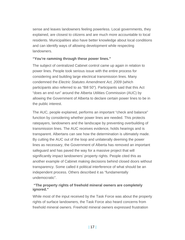sense and leaves landowners feeling powerless. Local governments, they explained, are closest to citizens and are much more accountable to local residents. Municipalities also have better knowledge about local conditions and can identify ways of allowing development while respecting landowners.

#### **"You're ramming through these power lines."**

The subject of centralized Cabinet control came up again in relation to power lines. People took serious issue with the entire process for considering and building large electrical transmission lines. Many condemned the *Electric Statutes Amendment Act, 2009* (which participants also referred to as "Bill 50"). Participants said that this Act "does an end run" around the Alberta Utilities Commission (AUC) by allowing the Government of Alberta to declare certain power lines to be in the public interest.

The AUC, people explained, performs an important "check and balance" function by considering whether power lines are needed. This protects ratepayers, landowners and the landscape by preventing overbuilding of transmission lines. The AUC receives evidence, holds hearings and is transparent. Albertans can see how the determination is ultimately made. By cutting the AUC out of the loop and unilaterally deeming the power lines as necessary, the Government of Alberta has removed an important safeguard and has paved the way for a massive project that will significantly impact landowners' property rights. People cited this as another example of Cabinet making decisions behind closed doors without transparency. Some called it political interference of what should be an independent process. Others described it as "fundamentally undemocratic".

#### **"The property rights of freehold mineral owners are completely ignored."**

While most of the input received by the Task Force was about the property rights of surface landowners, the Task Force also heard concerns from freehold mineral owners. Freehold mineral owners expressed frustration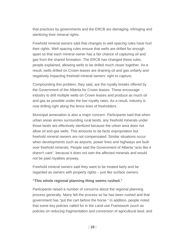that practices by governments and the ERCB are damaging, infringing and sterilizing their mineral rights.

Freehold mineral owners said that changes to well spacing rules have hurt their rights. Well spacing rules ensure that wells are drilled far enough apart so that each mineral owner has a fair chance of capturing oil and gas from the shared formation. The ERCB has changed these rules, people explained, allowing wells to be drilled much closer together. As a result, wells drilled on Crown leases are draining oil and gas unfairly and negatively impacting freehold mineral owners' right to capture.

Compounding this problem, they said, are the royalty breaks offered by the Government of the Alberta for Crown leases. These encourage industry to drill multiple wells on Crown leases and produce as much oil and gas as possible under the low royalty rates. As a result, industry is now drilling right along the fence lines of freeholders.

Municipal annexation is also a major concern. Participants said that when urban areas annex surrounding rural lands, any freehold minerals under those lands are effectively sterilized because the urban area does not allow oil and gas wells. This amounts to de facto expropriation but freehold mineral owners are not compensated. Similar situations occur when developments such as airports, power lines and highways are built over freehold minerals. People said the Government of Alberta "acts like it doesn't care", because it does not own the affected minerals and would not be paid royalties anyway.

Freehold mineral owners said they want to be treated fairly and be regarded as owners with property rights – just like surface owners.

#### **"This whole regional planning thing seems rushed."**

Participants raised a number of concerns about the regional planning process generally. Many felt the process so far has been rushed and that government has "put the cart before the horse." In addition, people noted that some key policies called for in the Land-use Framework (such as policies on reducing fragmentation and conversion of agricultural land; and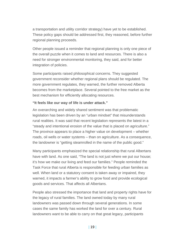a transportation and utility corridor strategy) have yet to be established. These policy gaps should be addressed first, they reasoned, before further regional planning proceeds.

Other people issued a reminder that regional planning is only one piece of the overall puzzle when it comes to land and resources. There is also a need for stronger environmental monitoring, they said, and for better integration of policies.

Some participants raised philosophical concerns. They suggested government reconsider whether regional plans should be regulated. The more government regulates, they warned, the further removed Alberta becomes from the marketplace. Several pointed to the free market as the best mechanism for efficiently allocating resources.

#### **"It feels like our way of life is under attack."**

An overarching and widely shared sentiment was that problematic legislation has been driven by an "urban mindset" that misunderstands rural realities. It was said that recent legislation represents the latest in a "steady and intentional erosion of the value that is placed on agriculture." The province appears to place a higher value on development – whether roads, oil wells or water systems – than on agriculture. As a consequence, the landowner is "getting steamrolled in the name of the public good."

Many participants emphasized the special relationship that rural Albertans have with land. As one said, "The land is not just where we put our house; it's how we make our living and feed our families." People reminded the Task Force that rural Alberta is responsible for feeding urban families as well. When land or a statutory consent is taken away or impaired, they warned, it impacts a farmer's ability to grow food and provide ecological goods and services. That affects all Albertans.

People also stressed the importance that land and property rights have for the legacy of rural families. The land owned today by many rural landowners was passed down through several generations. In some cases the same family has worked the land for over a century. Rural landowners want to be able to carry on that great legacy, participants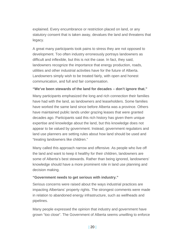explained. Every encumbrance or restriction placed on land, or any statutory consent that is taken away, devalues the land and threatens that legacy.

A great many participants took pains to stress they are not opposed to development. Too often industry erroneously portrays landowners as difficult and inflexible, but this is not the case. In fact, they said, landowners recognize the importance that energy production, roads, utilities and other industrial activities have for the future of Alberta. Landowners simply wish to be treated fairly, with open and honest communication, and full and fair compensation.

#### **"We've been stewards of the land for decades – don't ignore that."**

Many participants emphasized the long and rich connection their families have had with the land, as landowners and leaseholders. Some families have worked the same land since before Alberta was a province. Others have maintained public lands under grazing leases that were granted decades ago. Participants said this rich history has given them unique expertise and knowledge about the land, but this knowledge does not appear to be valued by government. Instead, government regulators and land use planners are setting rules about how land should be used and "treating landowners like children."

Many called this approach narrow and offensive. As people who live off the land and want to keep it healthy for their children, landowners are some of Alberta's best stewards. Rather than being ignored, landowners' knowledge should have a more prominent role in land use planning and decision making.

#### **"Government needs to get serious with industry."**

Serious concerns were raised about the ways industrial practices are impacting Albertans' property rights. The strongest comments were made in relation to abandoned energy infrastructure, such as wellheads and pipelines.

Many people expressed the opinion that industry and government have grown "too close". The Government of Alberta seems unwilling to enforce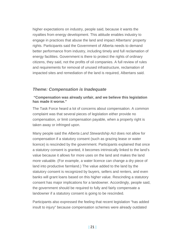higher expectations on industry, people said, because it wants the royalties from energy development. This attitude enables industry to engage in practices that abuse the land and impact Albertans' property rights. Participants said the Government of Alberta needs to demand better performance from industry, including timely and full reclamation of energy facilities. Government is there to protect the rights of ordinary citizens, they said, not the profits of oil companies. A full review of rules and requirements for removal of unused infrastructure, reclamation of impacted sites and remediation of the land is required, Albertans said.

#### *Theme: Compensation is Inadequate*

#### **"Compensation was already unfair, and we believe this legislation has made it worse."**

The Task Force heard a lot of concerns about compensation. A common complaint was that several pieces of legislation either provide no compensation, or limit compensation payable, when a property right is taken away or infringed upon.

Many people said the *Alberta Land Stewardship Act* does not allow for compensation if a statutory consent (such as grazing lease or water licence) is rescinded by the government. Participants explained that once a statutory consent is granted, it becomes intrinsically linked to the land's value because it allows for more uses on the land and makes the land more valuable. (For example, a water licence can change a dry piece of land into productive farmland.) The value added to the land by the statutory consent is recognized by buyers, sellers and renters, and even banks will grant loans based on this higher value. Rescinding a statutory consent has major implications for a landowner. Accordingly, people said, the government should be required to fully and fairly compensate a landowner if a statutory consent is going to be rescinded.

Participants also expressed the feeling that recent legislation "has added insult to injury" because compensation schemes were already outdated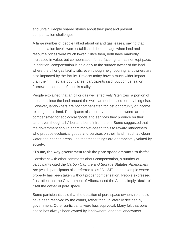and unfair. People shared stories about their past and present compensation challenges.

A large number of people talked about oil and gas leases, saying that compensation levels were established decades ago when land and resource prices were much lower. Since then, both have markedly increased in value, but compensation for surface rights has not kept pace. In addition, compensation is paid only to the surface owner of the land where the oil or gas facility sits, even though neighbouring landowners are also impacted by the facility. Projects today have a much wider impact than their immediate boundaries, participants said, but compensation frameworks do not reflect this reality.

People explained that an oil or gas well effectively "sterilizes" a portion of the land, since the land around the well can not be used for anything else. However, landowners are not compensated for lost opportunity or income relating to this land. Participants also observed that landowners are not compensated for ecological goods and services they produce on their land, even though all Albertans benefit from them. Some suggested that the government should enact market-based tools to reward landowners who produce ecological goods and services on their land – such as clean water and riparian areas – so that these things are appropriately valued by society.

#### **"To me, the way government took the pore space amounts to theft."**

Consistent with other comments about compensation, a number of participants cited the *Carbon Capture and Storage Statutes Amendment*  Act (which participants also referred to as "Bill 24") as an example where property has been taken without proper compensation. People expressed frustration that the Government of Alberta used the Act to simply "declare" itself the owner of pore space.

Some participants said that the question of pore space ownership should have been resolved by the courts, rather than unilaterally decided by government. Other participants were less equivocal. Many felt that pore space has always been owned by landowners, and that landowners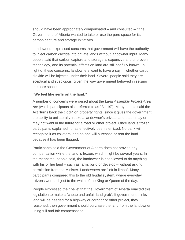should have been appropriately compensated – and consulted – if the Government of Alberta wanted to take or use the pore space for its carbon capture and storage initiatives.

Landowners expressed concerns that government will have the authority to inject carbon dioxide into private lands without landowner input. Many people said that carbon capture and storage is expensive and unproven technology, and its potential effects on land are still not fully known. In light of these concerns, landowners want to have a say in whether carbon dioxide will be injected under their land. Several people said they are sceptical and suspicious, given the way government behaved in seizing the pore space.

#### **"We feel like serfs on the land."**

A number of concerns were raised about the *Land Assembly Project Area Act* (which participants also referred to as "Bill 19"). Many people said the Act "turns back the clock" on property rights, since it gives the government the ability to unilaterally freeze a landowner's private land that it may or may not want in the future for a road or other project. Once land is frozen, participants explained, it has effectively been sterilized. No bank will recognize it as collateral and no one will purchase or rent the land because it has been flagged.

Participants said the Government of Alberta does not provide any compensation while the land is frozen, which might be several years. In the meantime, people said, the landowner is not allowed to do anything with his or her land – such as farm, build or develop – without asking permission from the Minister. Landowners are "left in limbo". Many participants compared this to the old feudal system, where everyday citizens were subject to the whim of the King or Queen of the day.

People expressed their belief that the Government of Alberta enacted this legislation to make a "cheap and unfair land grab". If government thinks land will be needed for a highway or corridor or other project, they reasoned, then government should purchase the land from the landowner using full and fair compensation.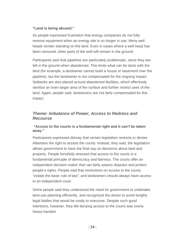#### **"Land is being abused."**

As people expressed frustration that energy companies do not fully remove equipment when an energy site is no longer in use. Many well heads remain standing on the land. Even in cases where a well head has been removed, other parts of the well will remain in the ground.

Participants said that pipelines are particularly problematic, since they are left in the ground when abandoned. This limits what can be done with the land (for example, a landowner cannot build a house or basement over the pipeline), but the landowner is not compensated for the ongoing impact. Setbacks are also placed around abandoned facilities, which effectively sterilize an even larger area of the surface and further restrict uses of the land. Again, people said, landowners are not fairly compensated for this impact.

### *Theme: Imbalance of Power, Access to Redress and Recourse*

#### **"Access to the courts is a fundamental right and it can't be taken away."**

Participants expressed dismay that certain legislation restricts or denies Albertans the right to access the courts. Instead, they said, the legislation allows government to have the final say on decisions about land and property. People forcefully stressed that access to the courts is a fundamental principle of democracy and fairness. The courts offer an independent decision maker that can fairly assess disputes and protect people's rights. People said that restrictions on access to the courts "violate the basic rule of law", and landowners should always have access to an independent court.

Some people said they understood the need for government to undertake land-use planning efficiently, and recognized the desire to avoid lengthy legal battles that would be costly to everyone. Despite such good intentions, however, they felt denying access to the courts was overly heavy-handed.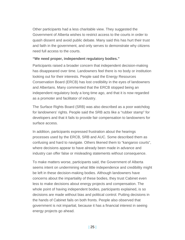Other participants had a less charitable view. They suggested the Government of Alberta wishes to restrict access to the courts in order to quash dissent and avoid public debate. Many said this has hurt their trust and faith in the government, and only serves to demonstrate why citizens need full access to the courts.

#### **"We need proper, independent regulatory bodies."**

Participants raised a broader concern that independent decision-making has disappeared over time. Landowners feel there is no body or institution looking out for their interests. People said the Energy Resources Conservation Board (ERCB) has lost credibility in the eyes of landowners and Albertans. Many commented that the ERCB stopped being an independent regulatory body a long time ago, and that it is now regarded as a promoter and facilitator of industry.

The Surface Rights Board (SRB) was also described as a poor watchdog for landowners' rights. People said the SRB acts like a "rubber stamp" for developers and that it fails to provide fair compensation to landowners for surface access.

In addition, participants expressed frustration about the hearings processes used by the ERCB, SRB and AUC. Some described them as confusing and hard to navigate. Others likened them to "kangaroo courts", where decisions appear to have already been made in advance and industry can offer false or misleading statements without consequence.

To make matters worse, participants said, the Government of Alberta seems intent on undermining what little independence and credibility might be left in these decision-making bodies. Although landowners have concerns about the impartiality of these bodies, they trust Cabinet even less to make decisions about energy projects and compensation. The whole point of having independent bodies, participants explained, is so decisions are made without bias and political control. Putting decisions in the hands of Cabinet fails on both fronts. People also observed that government is not impartial, because it has a financial interest in seeing energy projects go ahead.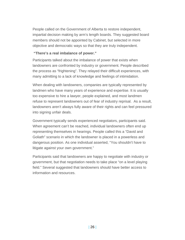People called on the Government of Alberta to restore independent, impartial decision making by arm's length boards. They suggested board members should not be appointed by Cabinet, but selected in more objective and democratic ways so that they are truly independent.

#### **"There's a real imbalance of power."**

Participants talked about the imbalance of power that exists when landowners are confronted by industry or government. People described the process as "frightening". They relayed their difficult experiences, with many admitting to a lack of knowledge and feelings of intimidation.

When dealing with landowners, companies are typically represented by landmen who have many years of experience and expertise. It is usually too expensive to hire a lawyer, people explained, and most landmen refuse to represent landowners out of fear of industry reprisal. As a result, landowners aren't always fully aware of their rights and can feel pressured into signing unfair deals.

Government typically sends experienced negotiators, participants said. When agreement can't be reached, individual landowners often end up representing themselves in hearings. People called this a "David and Goliath" scenario in which the landowner is placed in a powerless and dangerous position. As one individual asserted, "You shouldn't have to litigate against your own government."

Participants said that landowners are happy to negotiate with industry or government, but that negotiation needs to take place "on a level playing field." Several suggested that landowners should have better access to information and resources.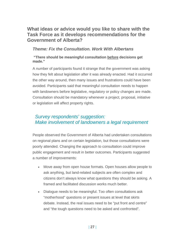## **What ideas or advice would you like to share with the Task Force as it develops recommendations for the Government of Alberta?**

### *Theme: Fix the Consultation. Work With Albertans*

#### **"There should be meaningful consultation before decisions get made."**

A number of participants found it strange that the government was asking how they felt about legislation after it was already enacted. Had it occurred the other way around, then many issues and frustrations could have been avoided. Participants said that meaningful consultation needs to happen with landowners before legislative, regulatory or policy changes are made. Consultation should be mandatory whenever a project, proposal, initiative or legislation will affect property rights.

## *Survey respondents' suggestion: Make involvement of landowners a legal requirement*

People observed the Government of Alberta had undertaken consultations on regional plans and on certain legislation, but those consultations were poorly attended. Changing the approach to consultation could improve public engagement and result in better outcomes. Participants suggested a number of improvements:

- Move away from open house formats. Open houses allow people to ask anything, but land-related subjects are often complex and citizens don't always know what questions they should be asking. A framed and facilitated discussion works much better.
- Dialogue needs to be meaningful. Too often consultations ask "motherhood" questions or present issues at level that skirts debate. Instead, the real issues need to be "put front and centre" and "the tough questions need to be asked and confronted".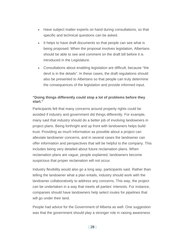- Have subject matter experts on hand during consultations, so that specific and technical questions can be asked.
- It helps to have draft documents so that people can see what is being proposed. When the proposal involves legislation, Albertans should be able to see and comment on the draft bill before it is introduced in the Legislature.
- Consultations about enabling legislation are difficult, because "the devil is in the details". In these cases, the draft regulations should also be presented to Albertans so that people can truly determine the consequences of the legislation and provide informed input.

#### **"Doing things differently could stop a lot of problems before they start."**

Participants felt that many concerns around property rights could be avoided if industry and government did things differently. For example, many said that industry should do a better job of involving landowners in project plans. Being forthright and up front with landowners helps build trust. Providing as much information as possible about a project can alleviate landowner concerns, and in several cases the landowner can offer information and perspectives that will be helpful to the company. This includes being very detailed about future reclamation plans. When reclamation plans are vague, people explained, landowners become suspicious that proper reclamation will not occur.

Industry flexibility would also go a long way, participants said. Rather than telling the landowner what a plan entails, industry should work with the landowner collaboratively to address any concerns. This way, the project can be undertaken in a way that meets all parties' interests. For instance, companies should have landowners help select routes for pipelines that will go under their land.

People had advice for the Government of Alberta as well. One suggestion was that the government should play a stronger role in raising awareness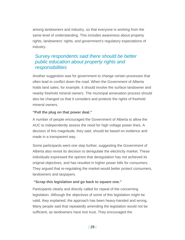among landowners and industry, so that everyone is working from the same level of understanding. This includes awareness about property rights, landowners' rights, and government's regulatory expectations of industry.

## *Survey respondents said there should be better public education about property rights and responsibilities*

Another suggestion was for government to change certain processes that often lead to conflict down the road. When the Government of Alberta holds land sales, for example, it should involve the surface landowner and nearby freehold mineral owners. The municipal annexation process should also be changed so that it considers and protects the rights of freehold mineral owners.

#### **"Pull the plug on that power deal."**

A number of people encouraged the Government of Alberta to allow the AUC to independently assess the need for high voltage power lines. A decision of this magnitude, they said, should be based on evidence and made in a transparent way.

Some participants went one step further, suggesting the Government of Alberta also revisit its decision to deregulate the electricity market. These individuals expressed the opinion that deregulation has not achieved its original objectives, and has resulted in higher power bills for consumers. They argued that re-regulating the market would better protect consumers, landowners and taxpayers.

#### **"Scrap this legislation and go back to square one."**

Participants clearly and directly called for repeal of the concerning legislation. Although the objectives of some of this legislation might be valid, they explained, the approach has been heavy-handed and wrong. Many people said that repeatedly amending the legislation would not be sufficient, as landowners have lost trust. They encouraged the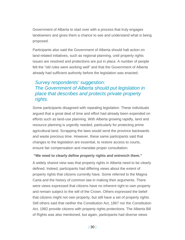Government of Alberta to start over with a process that truly engages landowners and gives them a chance to see and understand what is being proposed.

Participants also said the Government of Alberta should halt action on land-related initiatives, such as regional planning, until property rights issues are resolved and protections are put in place. A number of people felt the "old rules were working well" and that the Government of Alberta already had sufficient authority before the legislation was enacted.

## *Survey respondents' suggestion: The Government of Alberta should put legislation in place that describes and protects private property rights.*

Some participants disagreed with repealing legislation. These individuals argued that a great deal of time and effort had already been expended on efforts such as land-use planning. With Alberta growing rapidly, land and resource planning is urgently needed, particularly for protecting prime agricultural land. Scrapping the laws would send the province backwards and waste precious time. However, these same participants said that changes to the legislation are essential, to restore access to courts, ensure fair compensation and mandate proper consultation.

#### **"We need to clearly define property rights and entrench them."**

A widely shared view was that property rights in Alberta need to be clearly defined. Indeed, participants had differing views about the extent of property rights that citizens currently have. Some referred to the Magna Carta and the history of common law in making their arguments. There were views expressed that citizens have no inherent right to own property and remain subject to the will of the Crown. Others expressed the belief that citizens might not own property, but still have a set of property rights. Still others said that neither the Constitution Act, 1867 nor the Constitution Act, 1982 provide citizens with property rights protections. The Alberta Bill of Rights was also mentioned, but again, participants had diverse views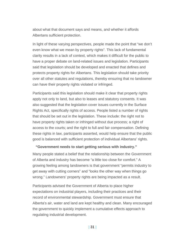about what that document says and means, and whether it affords Albertans sufficient protection.

In light of these varying perspectives, people made the point that "we don't even know what we mean by property rights". This lack of fundamental clarity results in a lack of context, which makes it difficult for the public to have a proper debate on land-related issues and legislation. Participants said that legislation should be developed and enacted that defines and protects property rights for Albertans. This legislation should take priority over all other statutes and regulations, thereby ensuring that no landowner can have their property rights violated or infringed.

Participants said this legislation should make it clear that property rights apply not only to land, but also to leases and statutory consents. It was also suggested that the legislation cover issues currently in the Surface Rights Act, specifically rights of access. People listed a number of rights that should be set out in the legislation. These include: the right not to have property rights taken or infringed without due process; a right of access to the courts; and the right to full and fair compensation. Defining these rights in law, participants asserted, would help ensure that the public good is balanced with sufficient protection of individual Albertans' rights.

#### **"Government needs to start getting serious with industry."**

Many people stated a belief that the relationship between the Government of Alberta and industry has become "a little too close for comfort." A growing feeling among landowners is that government "permits industry to get away with cutting corners" and "looks the other way when things go wrong." Landowners' property rights are being impacted as a result.

Participants advised the Government of Alberta to place higher expectations on industrial players, including their practices and their record of environmental stewardship. Government must ensure that Alberta's air, water and land are kept healthy and clean. Many encouraged the government to quickly implement a cumulative effects approach to regulating industrial development.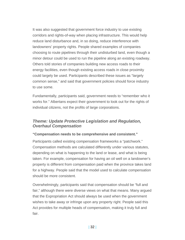It was also suggested that government force industry to use existing corridors and rights-of-way when placing infrastructure. This would help reduce land disturbance and, in so doing, reduce interference with landowners' property rights. People shared examples of companies choosing to route pipelines through their undisturbed land, even though a minor detour could be used to run the pipeline along an existing roadway. Others told stories of companies building new access roads to their energy facilities, even though existing access roads in close proximity could largely be used. Participants described these issues as "largely common sense," and said that government policies should force industry to use some.

Fundamentally, participants said, government needs to "remember who it works for." Albertans expect their government to look out for the rights of individual citizens, not the profits of large corporations.

### *Theme: Update Protective Legislation and Regulation, Overhaul Compensation*

#### **"Compensation needs to be comprehensive and consistent."**

Participants called existing compensation frameworks a "patchwork." Compensation methods are calculated differently under various statutes, depending on what is happening to the land or lease, and what is being taken. For example, compensation for having an oil well on a landowner's property is different from compensation paid when the province takes land for a highway. People said that the model used to calculate compensation should be more consistent.

Overwhelmingly, participants said that compensation should be "full and fair," although there were diverse views on what that means. Many argued that the Expropriation Act should always be used when the government wishes to take away or infringe upon any property right. People said this Act provides for multiple heads of compensation, making it truly full and fair.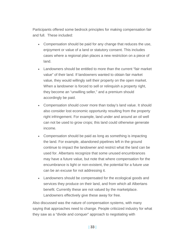Participants offered some bedrock principles for making compensation fair and full. These included:

- Compensation should be paid for any change that reduces the use, enjoyment or value of a land or statutory consent. This includes cases where a regional plan places a new restriction on a piece of land.
- Landowners should be entitled to more than the current "fair market value" of their land. If landowners wanted to obtain fair market value, they would willingly sell their property on the open market. When a landowner is forced to sell or relinquish a property right, they become an "unwilling seller," and a premium should accordingly be paid.
- Compensation should cover more than today's land value. It should also consider lost economic opportunity resulting from the property right infringement. For example, land under and around an oil well can not be used to grow crops; this land could otherwise generate income.
- Compensation should be paid as long as something is impacting the land. For example, abandoned pipelines left in the ground continue to impact the landowner and restrict what the land can be used for. Albertans recognize that some unused encumbrances may have a future value, but note that where compensation for the encumbrance is light or non-existent, the potential for a future use can be an excuse for not addressing it.
- Landowners should be compensated for the ecological goods and services they produce on their land, and from which all Albertans benefit. Currently these are not valued by the marketplace. Landowners effectively give these away for free.

Also discussed was the nature of compensation systems, with many saying that approaches need to change. People criticized industry for what they saw as a "divide and conquer" approach to negotiating with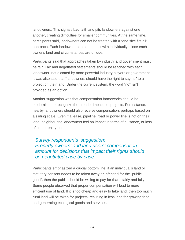landowners. This signals bad faith and pits landowners against one another, creating difficulties for smaller communities. At the same time, participants said, landowners can not be treated with a "one size fits all" approach. Each landowner should be dealt with individually, since each owner's land and circumstances are unique.

Participants said that approaches taken by industry and government must be fair. Fair and negotiated settlements should be reached with each landowner, not dictated by more powerful industry players or government. It was also said that "landowners should have the right to say no" to a project on their land. Under the current system, the word "no" isn't provided as an option.

Another suggestion was that compensation frameworks should be modernized to recognize the broader impacts of projects. For instance, nearby landowners should also receive compensation, perhaps based on a sliding scale. Even if a lease, pipeline, road or power line is not on their land, neighbouring landowners feel an impact in terms of nuisance, or loss of use or enjoyment.

### *Survey respondents' suggestion: Property owners' and land users' compensation amount for decisions that impact their rights should be negotiated case by case.*

Participants emphasized a crucial bottom line: if an individual's land or statutory consent needs to be taken away or infringed for the "public good", then the public should be willing to pay for that – fairly and fully. Some people observed that proper compensation will lead to more efficient use of land. If it is too cheap and easy to take land, then too much rural land will be taken for projects, resulting in less land for growing food and generating ecological goods and services.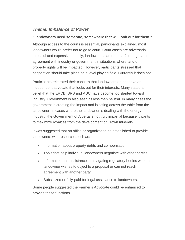### *Theme: Imbalance of Power*

#### **"Landowners need someone, somewhere that will look out for them."**

Although access to the courts is essential, participants explained, most landowners would prefer not to go to court. Court cases are adversarial, stressful and expensive. Ideally, landowners can reach a fair, negotiated agreement with industry or government in situations where land or property rights will be impacted. However, participants stressed that negotiation should take place on a level playing field. Currently it does not.

Participants reiterated their concern that landowners do not have an independent advocate that looks out for their interests. Many stated a belief that the ERCB, SRB and AUC have become too slanted toward industry. Government is also seen as less than neutral. In many cases the government is creating the impact and is sitting across the table from the landowner. In cases where the landowner is dealing with the energy industry, the Government of Alberta is not truly impartial because it wants to maximize royalties from the development of Crown minerals.

It was suggested that an office or organization be established to provide landowners with resources such as:

- Information about property rights and compensation;
- Tools that help individual landowners negotiate with other parties;
- Information and assistance in navigating regulatory bodies when a landowner wishes to object to a proposal or can not reach agreement with another party;
- Subsidized or fully-paid-for legal assistance to landowners.

Some people suggested the Farmer's Advocate could be enhanced to provide these functions.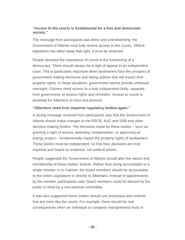#### **"Access to the courts is fundamental for a free and democratic society."**

The message from participants was direct and overwhelming: the Government of Alberta must fully restore access to the courts. Where legislation has taken away that right, it must be reversed.

People stressed the importance of courts in the functioning of a democracy. There should always be a right of appeal to an independent court. This is particularly important when landowners face the prospect of government making decisions and taking actions that will impact their property rights. In these situations, government cannot provide unbiased oversight. Citizens need access to a truly independent body, separate from government, to assess rights and remedies. Access to courts is essential for Albertans to have due process.

#### **"Albertans need truly impartial regulatory bodies again."**

A strong message received from participants was that the Government of Alberta should make changes to the ERCB, AUC and SRB and other decision-making bodies. The decisions made by these bodies – such as granting a right of access, awarding compensation, or approving an energy project – fundamentally impact the property rights of landowners. These bodies must be independent, so that their decisions are truly impartial and based on evidence, not political whims.

People suggested the Government of Alberta should alter the nature and membership of these bodies' boards. Rather than being accountable to a single minister or to Cabinet, the board members should be accountable to the entire Legislature or directly to Albertans. Instead of appointments by the minister, participants said, board members could be elected by the public or hired by a non-partisan committee.

It was also suggested these bodies should use processes and controls that are more like the courts. For example, there should be real consequences when an individual or company misrepresents facts or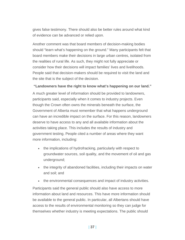gives false testimony. There should also be better rules around what kind of evidence can be advanced or relied upon.

Another comment was that board members of decision-making bodies should "learn what's happening on the ground." Many participants felt that board members make their decisions in large urban centres, isolated from the realities of rural life. As such, they might not fully appreciate or consider how their decisions will impact families' lives and livelihoods. People said that decision-makers should be required to visit the land and the site that is the subject of the decision.

#### **"Landowners have the right to know what's happening on our land."**

A much greater level of information should be provided to landowners, participants said, especially when it comes to industry projects. Even though the Crown often owns the minerals beneath the surface, the Government of Alberta must remember that what happens underground can have an incredible impact on the surface. For this reason, landowners deserve to have access to any and all available information about the activities taking place. This includes the results of industry and government testing. People cited a number of areas where they want more information, including:

- the implications of hydrofracking, particularly with respect to groundwater sources, soil quality, and the movement of oil and gas underground;
- the integrity of abandoned facilities, including their impacts on water and soil; and
- the environmental consequences and impact of industry activities.

Participants said the general public should also have access to more information about land and resources. This have more information should be available to the general public. In particular, all Albertans should have access to the results of environmental monitoring so they can judge for themselves whether industry is meeting expectations. The public should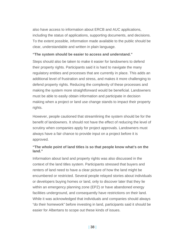also have access to information about ERCB and AUC applications, including the status of applications, supporting documents, and decisions. To the extent possible, information made available to the public should be clear, understandable and written in plain language.

#### **"The system should be easier to access and understand."**

Steps should also be taken to make it easier for landowners to defend their property rights. Participants said it is hard to navigate the many regulatory entities and processes that are currently in place. This adds an additional level of frustration and stress, and makes it more challenging to defend property rights. Reducing the complexity of these processes and making the system more straightforward would be beneficial. Landowners must be able to easily obtain information and participate in decision making when a project or land use change stands to impact their property rights.

However, people cautioned that streamlining the system should be for the benefit of landowners. It should not have the effect of reducing the level of scrutiny when companies apply for project approvals. Landowners must always have a fair chance to provide input on a project before it is approved.

#### **"The whole point of land titles is so that people know what's on the land."**

Information about land and property rights was also discussed in the context of the land titles system. Participants stressed that buyers and renters of land need to have a clear picture of how the land might be encumbered or restricted. Several people relayed stories about individuals or developers buying homes or land, only to discover later that they lie within an emergency planning zone (EPZ) or have abandoned energy facilities underground, and consequently have restrictions on their land. While it was acknowledged that individuals and companies should always "do their homework" before investing in land, participants said it should be easier for Albertans to scope out these kinds of issues.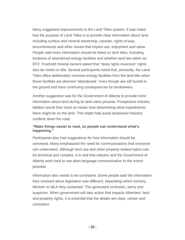Many suggested improvements to the Land Titles system. It was noted that the purpose of Land Titles is to provide clear information about land, including surface and mineral ownership, caveats, rights-of-way, encumbrances and other issues that impact use, enjoyment and value. People said more information should be listed on land titles, including locations of abandoned energy facilities and whether land lies within an EPZ. Freehold mineral owners asked that "deep rights reversion" rights also be noted on title. Several participants noted that, presently, the Land Titles office deliberately removes energy facilities from the land title when those facilities are deemed "abandoned," even though are still buried in the ground and have continuing consequences for landowners.

Another suggestion was for the Government of Alberta to provide more information about land during its land sales process. Prospective industry bidders would then have an easier time determining what impediments there might be on the land. This might help avoid landowner-industry conflicts down the road.

#### **"Make things easier to read, so people can understand what's happening."**

Participants also had suggestions for how information should be conveyed. Many emphasized the need for communications that everyone can understand. Although land use and other property-related topics can be technical and complex, it is vital that industry and the Government of Alberta work hard to use plain-language communication to the extent possible.

Information also needs to be consistent. Some people said the information they received about legislation was different, depending which ministry, Minister or MLA they contacted. This generated confusion, worry and suspicion. When government will take action that impacts Albertans' land and property rights, it is essential that the details are clear, certain and consistent.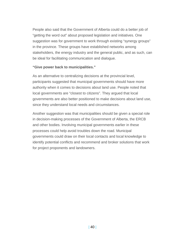People also said that the Government of Alberta could do a better job of "getting the word out" about proposed legislation and initiatives. One suggestion was for government to work through existing "synergy groups" in the province. These groups have established networks among stakeholders, the energy industry and the general public, and as such, can be ideal for facilitating communication and dialogue.

#### **"Give power back to municipalities."**

As an alternative to centralizing decisions at the provincial level, participants suggested that municipal governments should have more authority when it comes to decisions about land use. People noted that local governments are "closest to citizens". They argued that local governments are also better positioned to make decisions about land use, since they understand local needs and circumstances.

Another suggestion was that municipalities should be given a special role in decision-making processes of the Government of Alberta, the ERCB and other bodies. Involving municipal governments earlier in these processes could help avoid troubles down the road. Municipal governments could draw on their local contacts and local knowledge to identify potential conflicts and recommend and broker solutions that work for project proponents and landowners.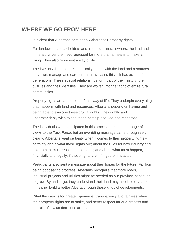## **WHERE WE GO FROM HERE**

It is clear that Albertans care deeply about their property rights.

For landowners, leaseholders and freehold mineral owners, the land and minerals under their feet represent far more than a means to make a living. They also represent a way of life.

The lives of Albertans are intrinsically bound with the land and resources they own, manage and care for. In many cases this link has existed for generations. These special relationships form part of their history, their cultures and their identities. They are woven into the fabric of entire rural communities.

Property rights are at the core of that way of life. They underpin everything that happens with land and resources. Albertans depend on having and being able to exercise these crucial rights. They rightly and understandably wish to see these rights preserved and respected.

The individuals who participated in this process presented a range of views to the Task Force, but an overriding message came through very clearly. Albertans want certainty when it comes to their property rights – certainty about what those rights are; about the rules for how industry and government must respect those rights; and about what must happen, financially and legally, if those rights are infringed or impacted.

Participants also sent a message about their hopes for the future. Far from being opposed to progress, Albertans recognize that more roads, industrial projects and utilities might be needed as our province continues to grow. By and large, they understand their land may need to play a role in helping build a better Alberta through these kinds of developments.

What they ask is for greater openness, transparency and fairness when their property rights are at stake, and better respect for due process and the rule of law as decisions are made.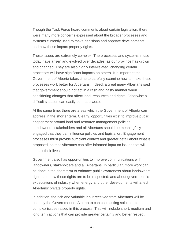Though the Task Force heard comments about certain legislation, there were many more concerns expressed about the broader processes and systems currently used to make decisions and approve developments, and how these impact property rights.

These issues are extremely complex. The processes and systems in use today have arisen and evolved over decades, as our province has grown and changed. They are also highly inter-related; changing certain processes will have significant impacts on others. It is important the Government of Alberta takes time to carefully examine how to make these processes work better for Albertans. Indeed, a great many Albertans said that government should not act in a rash and hasty manner when considering changes that affect land, resources and rights. Otherwise a difficult situation can easily be made worse.

At the same time, there are areas which the Government of Alberta can address in the shorter term. Clearly, opportunities exist to improve public engagement around land and resource management policies. Landowners, stakeholders and all Albertans should be meaningfully engaged that they can influence policies and legislation. Engagement processes must provide sufficient context and greater detail about what is proposed, so that Albertans can offer informed input on issues that will impact their lives.

Government also has opportunities to improve communications with landowners, stakeholders and all Albertans. In particular, more work can be done in the short term to enhance public awareness about landowners' rights and how those rights are to be respected; and about government's expectations of industry when energy and other developments will affect Albertans' private property rights.

In addition, the rich and valuable input received from Albertans will be used by the Government of Alberta to consider lasting solutions to the complex issues raised in this process. This will include short, medium and long term actions that can provide greater certainty and better respect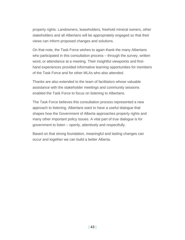property rights. Landowners, leaseholders, freehold mineral owners, other stakeholders and all Albertans will be appropriately engaged so that their views can inform proposed changes and solutions.

On that note, the Task Force wishes to again thank the many Albertans who participated in this consultation process – through the survey, written word, or attendance at a meeting. Their insightful viewpoints and firsthand experiences provided informative learning opportunities for members of the Task Force and for other MLAs who also attended.

Thanks are also extended to the team of facilitators whose valuable assistance with the stakeholder meetings and community sessions enabled the Task Force to focus on listening to Albertans.

The Task Force believes this consultation process represented a new approach to listening. Albertans want to have a useful dialogue that shapes how the Government of Alberta approaches property rights and many other important policy issues. A vital part of true dialogue is for government to listen – openly, attentively and respectfully.

Based on that strong foundation, meaningful and lasting changes can occur and together we can build a better Alberta.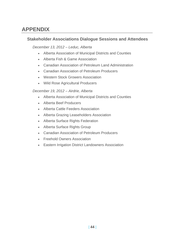## **APPENDIX**

### **Stakeholder Associations Dialogue Sessions and Attendees**

#### *December 13, 2012 – Leduc, Alberta*

- Alberta Association of Municipal Districts and Counties
- Alberta Fish & Game Association
- Canadian Association of Petroleum Land Administration
- Canadian Association of Petroleum Producers
- Western Stock Growers Association
- Wild Rose Agricultural Producers

#### *December 19, 2012 – Airdrie, Alberta*

- Alberta Association of Municipal Districts and Counties
- Alberta Beef Producers
- Alberta Cattle Feeders Association
- Alberta Grazing Leaseholders Association
- Alberta Surface Rights Federation
- Alberta Surface Rights Group
- Canadian Association of Petroleum Producers
- Freehold Owners Association
- **Eastern Irrigation District Landowners Association**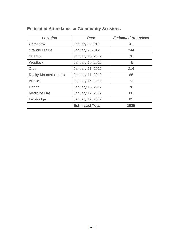| <b>Location</b>             | <b>Date</b>             | <b>Estimated Attendees</b> |
|-----------------------------|-------------------------|----------------------------|
| Grimshaw                    | January 9, 2012         | 41                         |
| <b>Grande Prairie</b>       | <b>January 9, 2012</b>  | 244                        |
| St. Paul                    | January 10, 2012        | 70                         |
| Westlock                    | January 10, 2012        | 75                         |
| Olds                        | <b>January 11, 2012</b> | 216                        |
| <b>Rocky Mountain House</b> | <b>January 11, 2012</b> | 66                         |
| <b>Brooks</b>               | January 16, 2012        | 72                         |
| Hanna                       | January 16, 2012        | 76                         |
| <b>Medicine Hat</b>         | January 17, 2012        | 80                         |
| Lethbridge                  | January 17, 2012        | 95                         |
|                             | <b>Estimated Total</b>  | 1035                       |

## **Estimated Attendance at Community Sessions**